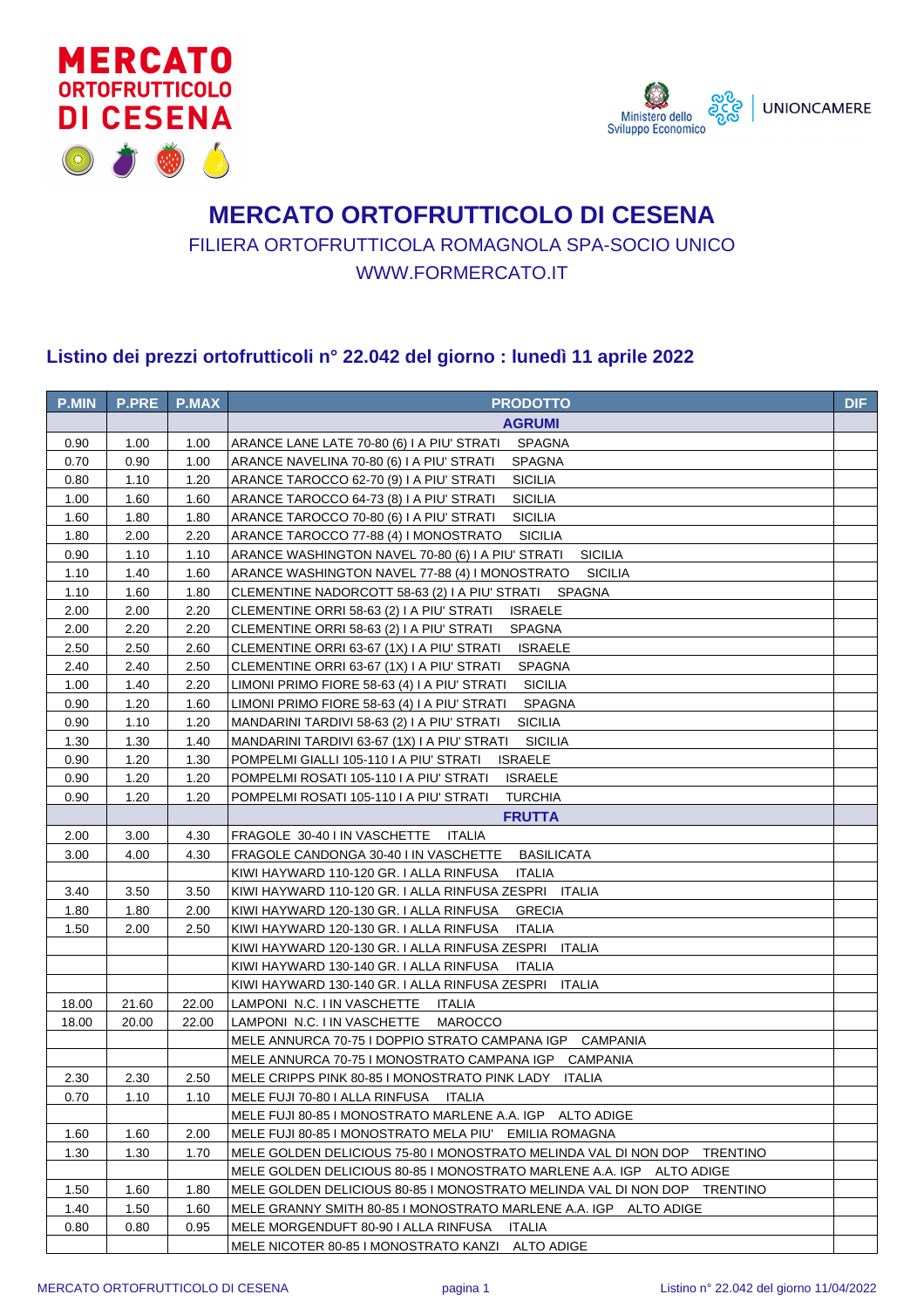



## **MERCATO ORTOFRUTTICOLO DI CESENA** FILIERA ORTOFRUTTICOLA ROMAGNOLA SPA-SOCIO UNICO WWW.FORMERCATO.IT

## **Listino dei prezzi ortofrutticoli n° 22.042 del giorno : lunedì 11 aprile 2022**

| <b>P.MIN</b> | <b>P.PRE</b> | <b>P.MAX</b> | <b>PRODOTTO</b>                                                          | <b>DIF</b> |
|--------------|--------------|--------------|--------------------------------------------------------------------------|------------|
|              |              |              | <b>AGRUMI</b>                                                            |            |
| 0.90         | 1.00         | 1.00         | ARANCE LANE LATE 70-80 (6) I A PIU' STRATI<br>SPAGNA                     |            |
| 0.70         | 0.90         | 1.00         | ARANCE NAVELINA 70-80 (6) I A PIU' STRATI<br><b>SPAGNA</b>               |            |
| 0.80         | 1.10         | 1.20         | <b>SICILIA</b><br>ARANCE TAROCCO 62-70 (9) I A PIU' STRATI               |            |
| 1.00         | 1.60         | 1.60         | <b>SICILIA</b><br>ARANCE TAROCCO 64-73 (8) I A PIU' STRATI               |            |
| 1.60         | 1.80         | 1.80         | <b>SICILIA</b><br>ARANCE TAROCCO 70-80 (6) I A PIU' STRATI               |            |
| 1.80         | 2.00         | 2.20         | ARANCE TAROCCO 77-88 (4) I MONOSTRATO<br><b>SICILIA</b>                  |            |
| 0.90         | 1.10         | 1.10         | <b>SICILIA</b><br>ARANCE WASHINGTON NAVEL 70-80 (6) I A PIU' STRATI      |            |
| 1.10         | 1.40         | 1.60         | ARANCE WASHINGTON NAVEL 77-88 (4) I MONOSTRATO<br><b>SICILIA</b>         |            |
| 1.10         | 1.60         | 1.80         | CLEMENTINE NADORCOTT 58-63 (2) I A PIU' STRATI SPAGNA                    |            |
| 2.00         | 2.00         | 2.20         | <b>ISRAELE</b><br>CLEMENTINE ORRI 58-63 (2) I A PIU' STRATI              |            |
| 2.00         | 2.20         | 2.20         | CLEMENTINE ORRI 58-63 (2) I A PIU' STRATI<br><b>SPAGNA</b>               |            |
| 2.50         | 2.50         | 2.60         | CLEMENTINE ORRI 63-67 (1X) I A PIU' STRATI<br><b>ISRAELE</b>             |            |
| 2.40         | 2.40         | 2.50         | CLEMENTINE ORRI 63-67 (1X) I A PIU' STRATI<br><b>SPAGNA</b>              |            |
| 1.00         | 1.40         | 2.20         | LIMONI PRIMO FIORE 58-63 (4) I A PIU' STRATI<br><b>SICILIA</b>           |            |
| 0.90         | 1.20         | 1.60         | LIMONI PRIMO FIORE 58-63 (4) I A PIU' STRATI<br><b>SPAGNA</b>            |            |
| 0.90         | 1.10         | 1.20         | <b>SICILIA</b><br>MANDARINI TARDIVI 58-63 (2) I A PIU' STRATI            |            |
| 1.30         | 1.30         | 1.40         | <b>SICILIA</b><br>MANDARINI TARDIVI 63-67 (1X) I A PIU' STRATI           |            |
| 0.90         | 1.20         | 1.30         | POMPELMI GIALLI 105-110 I A PIU' STRATI<br><b>ISRAELE</b>                |            |
| 0.90         | 1.20         | 1.20         | POMPELMI ROSATI 105-110 I A PIU' STRATI<br><b>ISRAELE</b>                |            |
| 0.90         | 1.20         | 1.20         | POMPELMI ROSATI 105-110 I A PIU' STRATI<br><b>TURCHIA</b>                |            |
|              |              |              | <b>FRUTTA</b>                                                            |            |
| 2.00         | 3.00         | 4.30         | FRAGOLE 30-40 I IN VASCHETTE<br>ITALIA                                   |            |
| 3.00         | 4.00         | 4.30         | <b>BASILICATA</b><br>FRAGOLE CANDONGA 30-40 I IN VASCHETTE               |            |
|              |              |              | KIWI HAYWARD 110-120 GR. I ALLA RINFUSA<br><b>ITALIA</b>                 |            |
| 3.40         | 3.50         | 3.50         | KIWI HAYWARD 110-120 GR. I ALLA RINFUSA ZESPRI ITALIA                    |            |
| 1.80         | 1.80         | 2.00         | KIWI HAYWARD 120-130 GR. I ALLA RINFUSA<br><b>GRECIA</b>                 |            |
| 1.50         | 2.00         | 2.50         | KIWI HAYWARD 120-130 GR. I ALLA RINFUSA<br><b>ITALIA</b>                 |            |
|              |              |              | KIWI HAYWARD 120-130 GR. I ALLA RINFUSA ZESPRI ITALIA                    |            |
|              |              |              | KIWI HAYWARD 130-140 GR. I ALLA RINFUSA<br>ITALIA                        |            |
|              |              |              | KIWI HAYWARD 130-140 GR. I ALLA RINFUSA ZESPRI ITALIA                    |            |
| 18.00        | 21.60        | 22.00        | LAMPONI N.C. I IN VASCHETTE ITALIA                                       |            |
| 18.00        | 20.00        | 22.00        | LAMPONI N.C. I IN VASCHETTE<br><b>MAROCCO</b>                            |            |
|              |              |              | MELE ANNURCA 70-75 I DOPPIO STRATO CAMPANA IGP CAMPANIA                  |            |
|              |              |              | MELE ANNURCA 70-75 I MONOSTRATO CAMPANA IGP CAMPANIA                     |            |
| 2.30         | 2.30         | 2.50         | MELE CRIPPS PINK 80-85 I MONOSTRATO PINK LADY ITALIA                     |            |
| 0.70         | 1.10         | 1.10         | MELE FUJI 70-80 I ALLA RINFUSA<br>ITALIA                                 |            |
|              |              |              | MELE FUJI 80-85 I MONOSTRATO MARLENE A.A. IGP ALTO ADIGE                 |            |
| 1.60         | 1.60         | 2.00         | MELE FUJI 80-85 I MONOSTRATO MELA PIU' EMILIA ROMAGNA                    |            |
| 1.30         | 1.30         | 1.70         | MELE GOLDEN DELICIOUS 75-80 I MONOSTRATO MELINDA VAL DI NON DOP TRENTINO |            |
|              |              |              | MELE GOLDEN DELICIOUS 80-85 I MONOSTRATO MARLENE A.A. IGP ALTO ADIGE     |            |
| 1.50         | 1.60         | 1.80         | MELE GOLDEN DELICIOUS 80-85 I MONOSTRATO MELINDA VAL DI NON DOP TRENTINO |            |
| 1.40         | 1.50         | 1.60         | MELE GRANNY SMITH 80-85 I MONOSTRATO MARLENE A.A. IGP ALTO ADIGE         |            |
| 0.80         | 0.80         | 0.95         | MELE MORGENDUFT 80-90 I ALLA RINFUSA<br>ITALIA                           |            |
|              |              |              | MELE NICOTER 80-85 I MONOSTRATO KANZI ALTO ADIGE                         |            |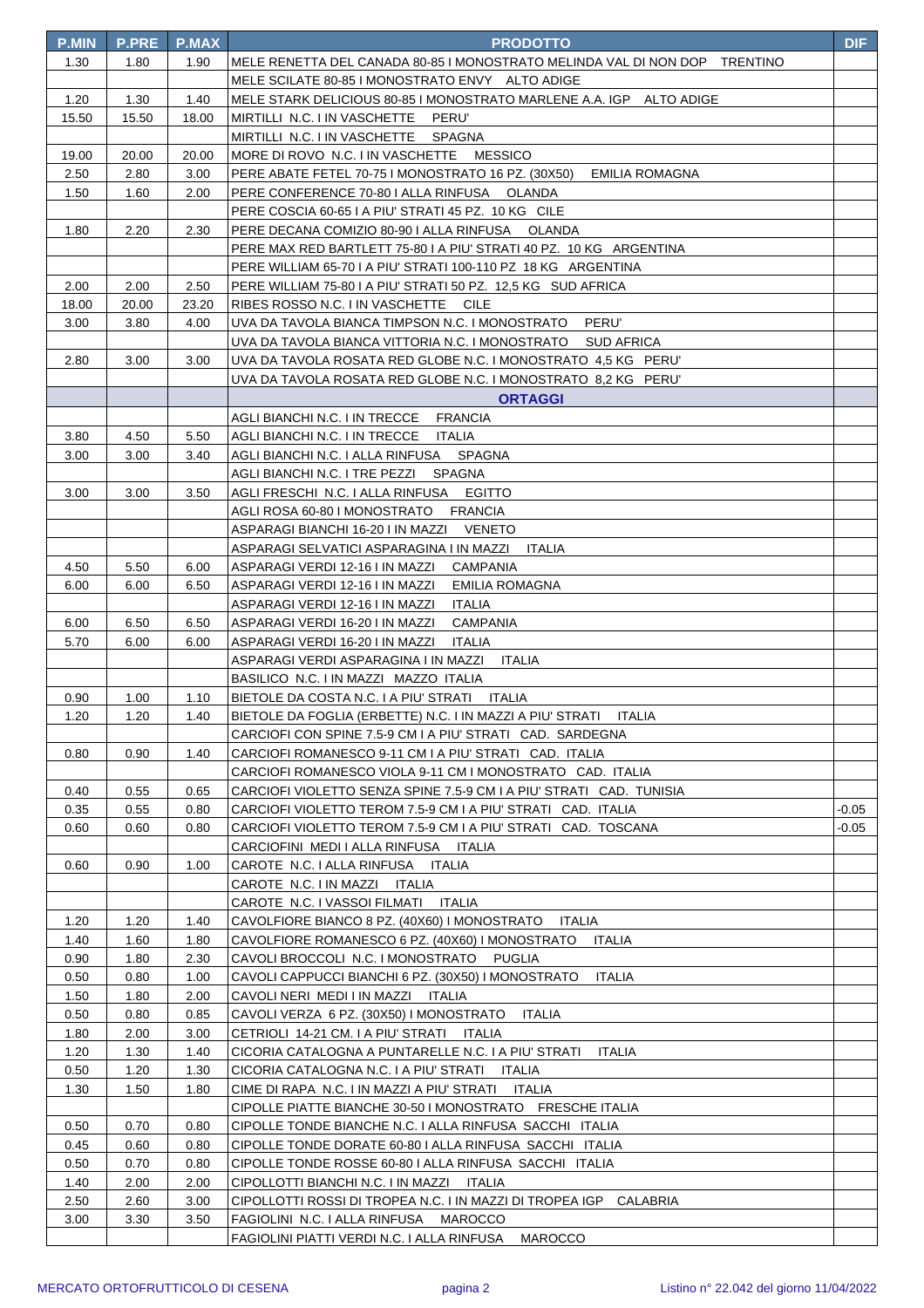| <b>P.MIN</b> | <b>P.PRE</b> | <b>P.MAX</b> | <b>PRODOTTO</b>                                                            | <b>DIF</b> |
|--------------|--------------|--------------|----------------------------------------------------------------------------|------------|
| 1.30         | 1.80         | 1.90         | MELE RENETTA DEL CANADA 80-85 I MONOSTRATO MELINDA VAL DI NON DOP TRENTINO |            |
|              |              |              | MELE SCILATE 80-85 I MONOSTRATO ENVY ALTO ADIGE                            |            |
| 1.20         | 1.30         | 1.40         | MELE STARK DELICIOUS 80-85 I MONOSTRATO MARLENE A.A. IGP ALTO ADIGE        |            |
| 15.50        | 15.50        | 18.00        | MIRTILLI N.C. I IN VASCHETTE PERU'                                         |            |
|              |              |              | MIRTILLI N.C. I IN VASCHETTE SPAGNA                                        |            |
| 19.00        | 20.00        | 20.00        | MORE DI ROVO N.C. I IN VASCHETTE MESSICO                                   |            |
| 2.50         | 2.80         | 3.00         | PERE ABATE FETEL 70-75 I MONOSTRATO 16 PZ. (30X50) EMILIA ROMAGNA          |            |
| 1.50         | 1.60         | 2.00         | PERE CONFERENCE 70-80   ALLA RINFUSA OLANDA                                |            |
|              |              |              | PERE COSCIA 60-65 I A PIU' STRATI 45 PZ. 10 KG CILE                        |            |
| 1.80         | 2.20         | 2.30         | PERE DECANA COMIZIO 80-90 I ALLA RINFUSA OLANDA                            |            |
|              |              |              | PERE MAX RED BARTLETT 75-80 I A PIU' STRATI 40 PZ. 10 KG ARGENTINA         |            |
|              |              |              | PERE WILLIAM 65-70 I A PIU' STRATI 100-110 PZ 18 KG ARGENTINA              |            |
| 2.00         | 2.00         | 2.50         | PERE WILLIAM 75-80 I A PIU' STRATI 50 PZ. 12,5 KG SUD AFRICA               |            |
| 18.00        | 20.00        | 23.20        | RIBES ROSSO N.C. I IN VASCHETTE CILE                                       |            |
| 3.00         | 3.80         | 4.00         | UVA DA TAVOLA BIANCA TIMPSON N.C. I MONOSTRATO<br>PERU'                    |            |
|              |              |              | UVA DA TAVOLA BIANCA VITTORIA N.C. I MONOSTRATO SUD AFRICA                 |            |
| 2.80         | 3.00         | 3.00         | UVA DA TAVOLA ROSATA RED GLOBE N.C. I MONOSTRATO 4,5 KG PERU'              |            |
|              |              |              | UVA DA TAVOLA ROSATA RED GLOBE N.C. I MONOSTRATO 8,2 KG PERU'              |            |
|              |              |              | <b>ORTAGGI</b>                                                             |            |
|              |              |              | AGLI BIANCHI N.C. I IN TRECCE<br><b>FRANCIA</b>                            |            |
| 3.80         | 4.50         | 5.50         | AGLI BIANCHI N.C. I IN TRECCE ITALIA                                       |            |
| 3.00         | 3.00         | 3.40         | AGLI BIANCHI N.C. I ALLA RINFUSA SPAGNA                                    |            |
|              |              |              | AGLI BIANCHI N.C. I TRE PEZZI SPAGNA                                       |            |
| 3.00         | 3.00         | 3.50         | AGLI FRESCHI N.C. I ALLA RINFUSA EGITTO                                    |            |
|              |              |              | AGLI ROSA 60-80 I MONOSTRATO FRANCIA                                       |            |
|              |              |              | ASPARAGI BIANCHI 16-20 I IN MAZZI VENETO                                   |            |
|              |              |              | ASPARAGI SELVATICI ASPARAGINA I IN MAZZI<br>ITALIA                         |            |
| 4.50         | 5.50         | 6.00         | ASPARAGI VERDI 12-16 I IN MAZZI CAMPANIA                                   |            |
| 6.00         | 6.00         | 6.50         | ASPARAGI VERDI 12-16 I IN MAZZI<br>EMILIA ROMAGNA                          |            |
|              |              | 6.50         | ASPARAGI VERDI 12-16 I IN MAZZI<br>ITALIA<br><b>CAMPANIA</b>               |            |
| 6.00<br>5.70 | 6.50<br>6.00 | 6.00         | ASPARAGI VERDI 16-20 I IN MAZZI<br>ASPARAGI VERDI 16-20 I IN MAZZI ITALIA  |            |
|              |              |              | ASPARAGI VERDI ASPARAGINA I IN MAZZI ITALIA                                |            |
|              |              |              | BASILICO N.C. I IN MAZZI MAZZO ITALIA                                      |            |
| 0.90         | 1.00         | 1.10         | BIETOLE DA COSTA N.C. I A PIU' STRATI ITALIA                               |            |
| 1.20         | 1.20         | 1.40         | BIETOLE DA FOGLIA (ERBETTE) N.C. I IN MAZZI A PIU' STRATI<br><b>ITALIA</b> |            |
|              |              |              | CARCIOFI CON SPINE 7.5-9 CM I A PIU' STRATI CAD. SARDEGNA                  |            |
| 0.80         | 0.90         | 1.40         | CARCIOFI ROMANESCO 9-11 CM I A PIU' STRATI CAD. ITALIA                     |            |
|              |              |              | CARCIOFI ROMANESCO VIOLA 9-11 CM I MONOSTRATO CAD. ITALIA                  |            |
| 0.40         | 0.55         | 0.65         | CARCIOFI VIOLETTO SENZA SPINE 7.5-9 CM I A PIU' STRATI CAD. TUNISIA        |            |
| 0.35         | 0.55         | 0.80         | CARCIOFI VIOLETTO TEROM 7.5-9 CM I A PIU' STRATI CAD. ITALIA               | -0.05      |
| 0.60         | 0.60         | 0.80         | CARCIOFI VIOLETTO TEROM 7.5-9 CM I A PIU' STRATI CAD. TOSCANA              | -0.05      |
|              |              |              | CARCIOFINI MEDI I ALLA RINFUSA ITALIA                                      |            |
| 0.60         | 0.90         | 1.00         | CAROTE N.C. I ALLA RINFUSA<br>ITALIA                                       |            |
|              |              |              | CAROTE N.C. I IN MAZZI ITALIA                                              |            |
|              |              |              | CAROTE N.C. I VASSOI FILMATI ITALIA                                        |            |
| 1.20         | 1.20         | 1.40         | CAVOLFIORE BIANCO 8 PZ. (40X60) I MONOSTRATO<br>ITALIA                     |            |
| 1.40         | 1.60         | 1.80         | CAVOLFIORE ROMANESCO 6 PZ. (40X60) I MONOSTRATO<br>ITALIA                  |            |
| 0.90         | 1.80         | 2.30         | CAVOLI BROCCOLI N.C. I MONOSTRATO<br>PUGLIA                                |            |
| 0.50         | 0.80         | 1.00         | CAVOLI CAPPUCCI BIANCHI 6 PZ. (30X50) I MONOSTRATO<br>ITALIA               |            |
| 1.50         | 1.80         | 2.00         | CAVOLI NERI MEDI I IN MAZZI ITALIA                                         |            |
| 0.50         | 0.80         | 0.85         | CAVOLI VERZA 6 PZ. (30X50) I MONOSTRATO<br>ITALIA                          |            |
| 1.80         | 2.00         | 3.00         | CETRIOLI 14-21 CM. I A PIU' STRATI ITALIA                                  |            |
| 1.20         | 1.30         | 1.40         | CICORIA CATALOGNA A PUNTARELLE N.C. I A PIU' STRATI<br>ITALIA              |            |
| 0.50         | 1.20         | 1.30         | CICORIA CATALOGNA N.C. I A PIU' STRATI ITALIA                              |            |
| 1.30         | 1.50         | 1.80         | CIME DI RAPA N.C. I IN MAZZI A PIU' STRATI ITALIA                          |            |
|              |              |              | CIPOLLE PIATTE BIANCHE 30-50 I MONOSTRATO FRESCHE ITALIA                   |            |
| 0.50         | 0.70         | 0.80         | CIPOLLE TONDE BIANCHE N.C. I ALLA RINFUSA SACCHI ITALIA                    |            |
| 0.45         | 0.60         | 0.80         | CIPOLLE TONDE DORATE 60-80   ALLA RINFUSA SACCHI ITALIA                    |            |
| 0.50         | 0.70         | 0.80         | CIPOLLE TONDE ROSSE 60-80   ALLA RINFUSA SACCHI ITALIA                     |            |
| 1.40         | 2.00         | 2.00         | CIPOLLOTTI BIANCHI N.C. I IN MAZZI ITALIA                                  |            |
| 2.50         | 2.60         | 3.00         | CIPOLLOTTI ROSSI DI TROPEA N.C. I IN MAZZI DI TROPEA IGP CALABRIA          |            |
| 3.00         | 3.30         | 3.50         | FAGIOLINI N.C. I ALLA RINFUSA MAROCCO                                      |            |
|              |              |              | FAGIOLINI PIATTI VERDI N.C. I ALLA RINFUSA MAROCCO                         |            |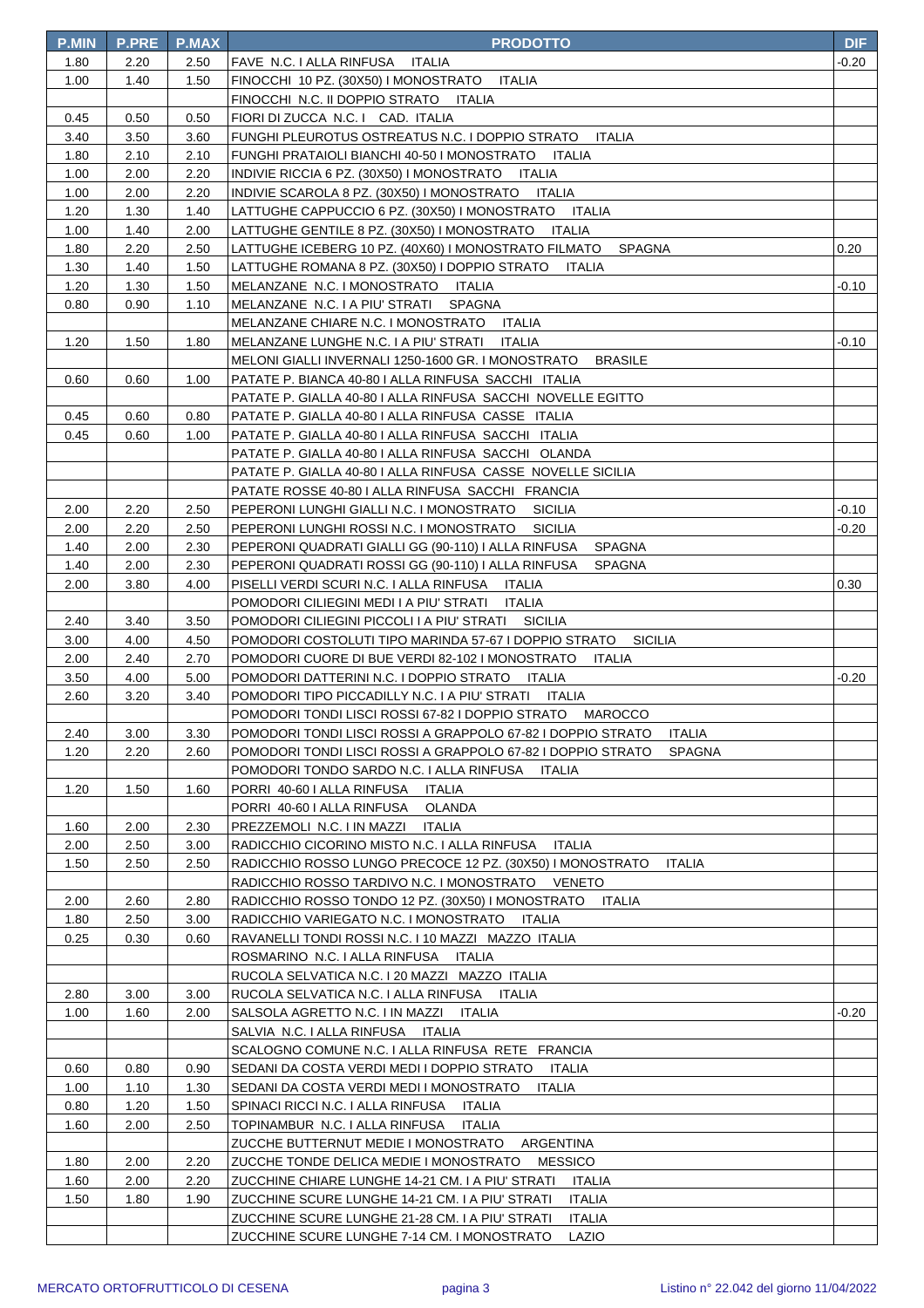| <b>P.MIN</b> | <b>P.PRE</b> | P.MAX        | <b>PRODOTTO</b>                                                                      | <b>DIF</b> |
|--------------|--------------|--------------|--------------------------------------------------------------------------------------|------------|
| 1.80         | 2.20         | 2.50         | FAVE N.C. I ALLA RINFUSA ITALIA                                                      | -0.20      |
| 1.00         | 1.40         | 1.50         | FINOCCHI 10 PZ. (30X50) I MONOSTRATO ITALIA                                          |            |
|              |              |              | FINOCCHI N.C. II DOPPIO STRATO ITALIA                                                |            |
| 0.45         | 0.50         | 0.50         | FIORI DI ZUCCA N.C. I CAD. ITALIA                                                    |            |
| 3.40         | 3.50         | 3.60         | FUNGHI PLEUROTUS OSTREATUS N.C. I DOPPIO STRATO<br><b>ITALIA</b>                     |            |
| 1.80         | 2.10         | 2.10         | FUNGHI PRATAIOLI BIANCHI 40-50 I MONOSTRATO ITALIA                                   |            |
| 1.00         | 2.00         | 2.20         | INDIVIE RICCIA 6 PZ. (30X50) I MONOSTRATO ITALIA                                     |            |
| 1.00         | 2.00         | 2.20         | INDIVIE SCAROLA 8 PZ. (30X50) I MONOSTRATO ITALIA                                    |            |
| 1.20         | 1.30         | 1.40         | ITALIA<br>LATTUGHE CAPPUCCIO 6 PZ. (30X50) I MONOSTRATO                              |            |
| 1.00         | 1.40         | 2.00         | LATTUGHE GENTILE 8 PZ. (30X50) I MONOSTRATO<br>ITALIA                                |            |
| 1.80         | 2.20         | 2.50         | LATTUGHE ICEBERG 10 PZ. (40X60) I MONOSTRATO FILMATO<br><b>SPAGNA</b>                | 0.20       |
| 1.30         | 1.40         | 1.50         | LATTUGHE ROMANA 8 PZ. (30X50) I DOPPIO STRATO<br>ITALIA                              |            |
| 1.20         | 1.30         | 1.50         | MELANZANE N.C. I MONOSTRATO<br>ITALIA                                                | $-0.10$    |
| 0.80         | 0.90         | 1.10         | MELANZANE N.C. I A PIU' STRATI<br><b>SPAGNA</b>                                      |            |
|              |              |              | MELANZANE CHIARE N.C. I MONOSTRATO<br>ITALIA                                         |            |
| 1.20         | 1.50         | 1.80         | MELANZANE LUNGHE N.C. I A PIU' STRATI<br><b>ITALIA</b>                               | $-0.10$    |
|              |              |              | MELONI GIALLI INVERNALI 1250-1600 GR. I MONOSTRATO<br><b>BRASILE</b>                 |            |
| 0.60         | 0.60         | 1.00         | PATATE P. BIANCA 40-80   ALLA RINFUSA SACCHI ITALIA                                  |            |
|              |              |              | PATATE P. GIALLA 40-80 I ALLA RINFUSA SACCHI NOVELLE EGITTO                          |            |
| 0.45         | 0.60         | 0.80         | PATATE P. GIALLA 40-80   ALLA RINFUSA CASSE ITALIA                                   |            |
| 0.45         | 0.60         | 1.00         | PATATE P. GIALLA 40-80 I ALLA RINFUSA SACCHI ITALIA                                  |            |
|              |              |              | PATATE P. GIALLA 40-80 I ALLA RINFUSA SACCHI OLANDA                                  |            |
|              |              |              | PATATE P. GIALLA 40-80 I ALLA RINFUSA CASSE NOVELLE SICILIA                          |            |
|              |              |              | PATATE ROSSE 40-80 I ALLA RINFUSA SACCHI FRANCIA                                     |            |
| 2.00         | 2.20         | 2.50         | PEPERONI LUNGHI GIALLI N.C. I MONOSTRATO<br><b>SICILIA</b>                           | -0.10      |
| 2.00         | 2.20         | 2.50         | PEPERONI LUNGHI ROSSI N.C. I MONOSTRATO<br><b>SICILIA</b>                            | -0.20      |
| 1.40         | 2.00         | 2.30         | PEPERONI QUADRATI GIALLI GG (90-110) I ALLA RINFUSA<br><b>SPAGNA</b>                 |            |
| 1.40         | 2.00         | 2.30         | PEPERONI QUADRATI ROSSI GG (90-110) I ALLA RINFUSA<br><b>SPAGNA</b>                  |            |
| 2.00         | 3.80         | 4.00         | PISELLI VERDI SCURI N.C. I ALLA RINFUSA<br>ITALIA                                    | 0.30       |
|              |              |              | POMODORI CILIEGINI MEDI I A PIU' STRATI<br>ITALIA                                    |            |
| 2.40         | 3.40         | 3.50         | POMODORI CILIEGINI PICCOLI I A PIU' STRATI<br>SICILIA                                |            |
| 3.00         | 4.00         | 4.50         | POMODORI COSTOLUTI TIPO MARINDA 57-67 I DOPPIO STRATO<br><b>SICILIA</b>              |            |
| 2.00         | 2.40         | 2.70         | POMODORI CUORE DI BUE VERDI 82-102 I MONOSTRATO<br>ITALIA                            |            |
| 3.50         | 4.00         | 5.00         | POMODORI DATTERINI N.C. I DOPPIO STRATO<br>ITALIA                                    | -0.20      |
| 2.60         | 3.20         | 3.40         | POMODORI TIPO PICCADILLY N.C. I A PIU' STRATI<br>ITALIA                              |            |
|              |              |              | POMODORI TONDI LISCI ROSSI 67-82 I DOPPIO STRATO MAROCCO                             |            |
| 2.40         | 3.00         | 3.30         | POMODORI TONDI LISCI ROSSI A GRAPPOLO 67-82 I DOPPIO STRATO<br><b>ITALIA</b>         |            |
| 1.20         | 2.20         | 2.60         | POMODORI TONDI LISCI ROSSI A GRAPPOLO 67-82 I DOPPIO STRATO<br><b>SPAGNA</b>         |            |
|              |              |              | POMODORI TONDO SARDO N.C. I ALLA RINFUSA ITALIA<br>PORRI 40-60   ALLA RINFUSA        |            |
| 1.20         | 1.50         | 1.60         | ITALIA                                                                               |            |
|              |              |              | PORRI 40-60   ALLA RINFUSA<br>OLANDA<br>PREZZEMOLI N.C. I IN MAZZI                   |            |
| 1.60<br>2.00 | 2.00         | 2.30         | ITALIA<br>RADICCHIO CICORINO MISTO N.C. I ALLA RINFUSA                               |            |
|              | 2.50         | 3.00<br>2.50 | ITALIA<br>RADICCHIO ROSSO LUNGO PRECOCE 12 PZ. (30X50) I MONOSTRATO<br><b>ITALIA</b> |            |
| 1.50         | 2.50         |              | RADICCHIO ROSSO TARDIVO N.C. I MONOSTRATO VENETO                                     |            |
| 2.00         | 2.60         | 2.80         | RADICCHIO ROSSO TONDO 12 PZ. (30X50) I MONOSTRATO<br>ITALIA                          |            |
| 1.80         | 2.50         | 3.00         | RADICCHIO VARIEGATO N.C. I MONOSTRATO<br>ITALIA                                      |            |
| 0.25         | 0.30         | 0.60         | RAVANELLI TONDI ROSSI N.C. I 10 MAZZI MAZZO ITALIA                                   |            |
|              |              |              | ROSMARINO N.C. I ALLA RINFUSA<br>ITALIA                                              |            |
|              |              |              | RUCOLA SELVATICA N.C. I 20 MAZZI MAZZO ITALIA                                        |            |
| 2.80         | 3.00         | 3.00         | RUCOLA SELVATICA N.C. I ALLA RINFUSA<br>ITALIA                                       |            |
| 1.00         | 1.60         | 2.00         | SALSOLA AGRETTO N.C. I IN MAZZI<br>ITALIA                                            | -0.20      |
|              |              |              | SALVIA N.C. I ALLA RINFUSA<br>ITALIA                                                 |            |
|              |              |              | SCALOGNO COMUNE N.C. I ALLA RINFUSA RETE FRANCIA                                     |            |
| 0.60         | 0.80         | 0.90         | SEDANI DA COSTA VERDI MEDI I DOPPIO STRATO<br>ITALIA                                 |            |
| 1.00         | 1.10         | 1.30         | SEDANI DA COSTA VERDI MEDI I MONOSTRATO<br>ITALIA                                    |            |
| 0.80         | 1.20         | 1.50         | SPINACI RICCI N.C. I ALLA RINFUSA<br>ITALIA                                          |            |
| 1.60         | 2.00         | 2.50         | TOPINAMBUR N.C. I ALLA RINFUSA<br><b>ITALIA</b>                                      |            |
|              |              |              | ZUCCHE BUTTERNUT MEDIE I MONOSTRATO<br>ARGENTINA                                     |            |
| 1.80         | 2.00         | 2.20         | <b>MESSICO</b><br>ZUCCHE TONDE DELICA MEDIE I MONOSTRATO                             |            |
| 1.60         | 2.00         | 2.20         | ZUCCHINE CHIARE LUNGHE 14-21 CM. I A PIU' STRATI<br>ITALIA                           |            |
| 1.50         | 1.80         | 1.90         | ZUCCHINE SCURE LUNGHE 14-21 CM. I A PIU' STRATI<br><b>ITALIA</b>                     |            |
|              |              |              | ZUCCHINE SCURE LUNGHE 21-28 CM. I A PIU' STRATI<br><b>ITALIA</b>                     |            |
|              |              |              | ZUCCHINE SCURE LUNGHE 7-14 CM. I MONOSTRATO<br>LAZIO                                 |            |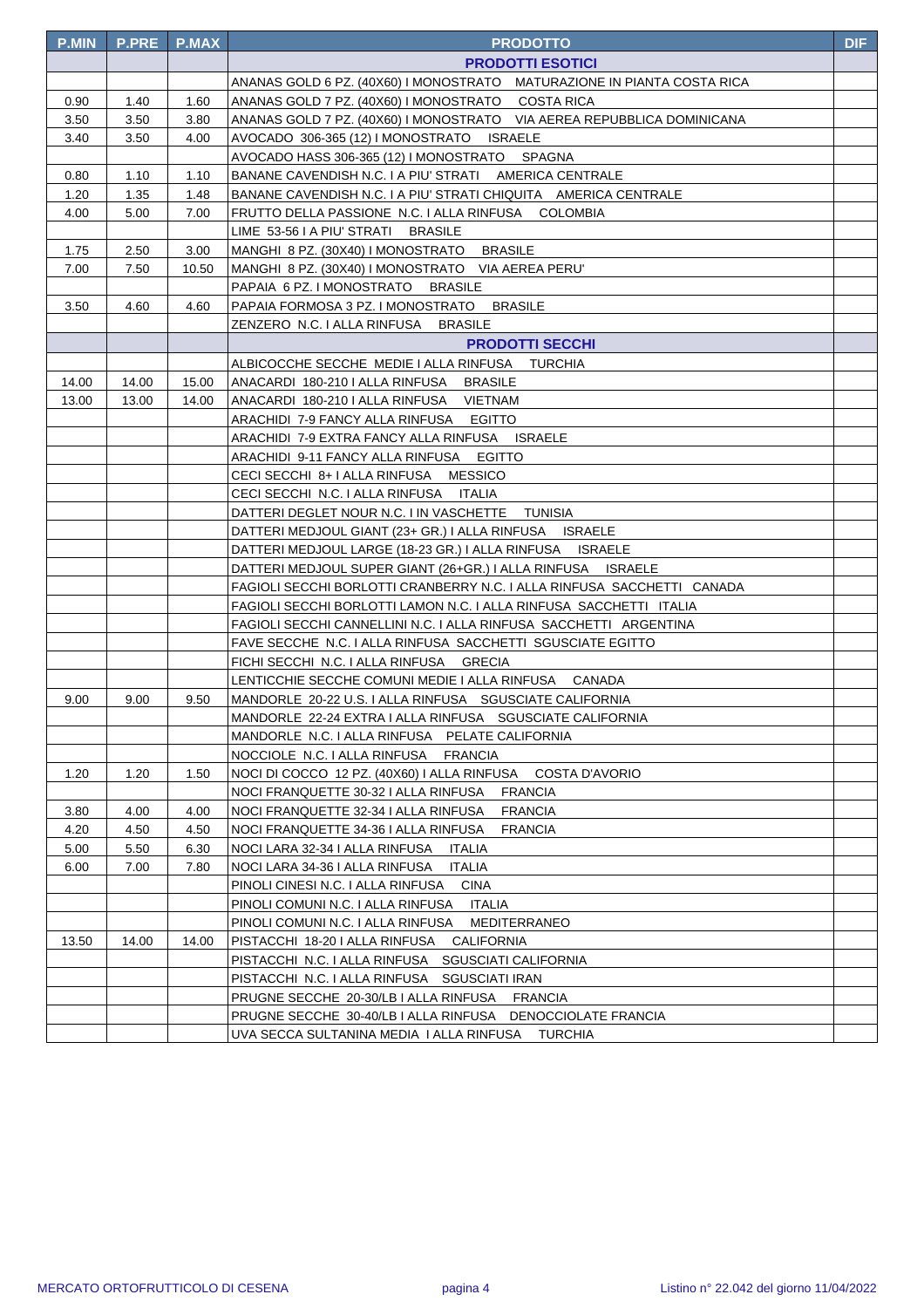| <b>P.MIN</b> | <b>P.PRE</b> | <b>P.MAX</b> | <b>PRODOTTO</b>                                                                                     | <b>DIF</b> |
|--------------|--------------|--------------|-----------------------------------------------------------------------------------------------------|------------|
|              |              |              | <b>PRODOTTI ESOTICI</b>                                                                             |            |
|              |              |              | ANANAS GOLD 6 PZ. (40X60) I MONOSTRATO MATURAZIONE IN PIANTA COSTA RICA                             |            |
| 0.90         | 1.40         | 1.60         | ANANAS GOLD 7 PZ. (40X60) I MONOSTRATO COSTA RICA                                                   |            |
| 3.50         | 3.50         | 3.80         | ANANAS GOLD 7 PZ. (40X60) I MONOSTRATO VIA AEREA REPUBBLICA DOMINICANA                              |            |
| 3.40         | 3.50         | 4.00         | AVOCADO 306-365 (12) I MONOSTRATO ISRAELE                                                           |            |
|              |              |              | AVOCADO HASS 306-365 (12) I MONOSTRATO SPAGNA                                                       |            |
| 0.80         | 1.10         | 1.10         | BANANE CAVENDISH N.C. I A PIU' STRATI AMERICA CENTRALE                                              |            |
| 1.20         | 1.35         | 1.48         | BANANE CAVENDISH N.C. I A PIU' STRATI CHIQUITA AMERICA CENTRALE                                     |            |
| 4.00         | 5.00         | 7.00         | FRUTTO DELLA PASSIONE N.C. I ALLA RINFUSA COLOMBIA                                                  |            |
|              |              |              | LIME 53-56 I A PIU' STRATI BRASILE                                                                  |            |
| 1.75         | 2.50         | 3.00         | MANGHI 8 PZ. (30X40) I MONOSTRATO BRASILE                                                           |            |
| 7.00         | 7.50         | 10.50        | MANGHI 8 PZ. (30X40) I MONOSTRATO VIA AEREA PERU'                                                   |            |
|              |              |              | PAPAIA 6 PZ. I MONOSTRATO BRASILE                                                                   |            |
| 3.50         | 4.60         | 4.60         | PAPAIA FORMOSA 3 PZ. I MONOSTRATO BRASILE                                                           |            |
|              |              |              | ZENZERO N.C. I ALLA RINFUSA BRASILE                                                                 |            |
|              |              |              | <b>PRODOTTI SECCHI</b>                                                                              |            |
|              |              |              | ALBICOCCHE SECCHE MEDIE I ALLA RINFUSA TURCHIA                                                      |            |
| 14.00        | 14.00        | 15.00        | ANACARDI 180-210   ALLA RINFUSA BRASILE                                                             |            |
| 13.00        | 13.00        | 14.00        | ANACARDI 180-210   ALLA RINFUSA VIETNAM                                                             |            |
|              |              |              | ARACHIDI 7-9 FANCY ALLA RINFUSA EGITTO                                                              |            |
|              |              |              | ARACHIDI 7-9 EXTRA FANCY ALLA RINFUSA ISRAELE                                                       |            |
|              |              |              | ARACHIDI 9-11 FANCY ALLA RINFUSA EGITTO                                                             |            |
|              |              |              | CECI SECCHI 8+ I ALLA RINFUSA MESSICO                                                               |            |
|              |              |              | CECI SECCHI N.C. I ALLA RINFUSA ITALIA                                                              |            |
|              |              |              | DATTERI DEGLET NOUR N.C. I IN VASCHETTE TUNISIA                                                     |            |
|              |              |              | DATTERI MEDJOUL GIANT (23+ GR.) I ALLA RINFUSA     ISRAELE                                          |            |
|              |              |              | DATTERI MEDJOUL LARGE (18-23 GR.) I ALLA RINFUSA     ISRAELE                                        |            |
|              |              |              | DATTERI MEDJOUL SUPER GIANT (26+GR.) I ALLA RINFUSA ISRAELE                                         |            |
|              |              |              | FAGIOLI SECCHI BORLOTTI CRANBERRY N.C. I ALLA RINFUSA SACCHETTI CANADA                              |            |
|              |              |              | FAGIOLI SECCHI BORLOTTI LAMON N.C. I ALLA RINFUSA SACCHETTI ITALIA                                  |            |
|              |              |              | FAGIOLI SECCHI CANNELLINI N.C. I ALLA RINFUSA SACCHETTI ARGENTINA                                   |            |
|              |              |              | FAVE SECCHE N.C. I ALLA RINFUSA SACCHETTI SGUSCIATE EGITTO                                          |            |
|              |              |              | FICHI SECCHI N.C. I ALLA RINFUSA GRECIA                                                             |            |
|              |              |              | LENTICCHIE SECCHE COMUNI MEDIE I ALLA RINFUSA CANADA                                                |            |
| 9.00         | 9.00         | 9.50         | MANDORLE 20-22 U.S. I ALLA RINFUSA SGUSCIATE CALIFORNIA                                             |            |
|              |              |              | MANDORLE 22-24 EXTRA I ALLA RINFUSA SGUSCIATE CALIFORNIA                                            |            |
|              |              |              | MANDORLE N.C. I ALLA RINFUSA PELATE CALIFORNIA                                                      |            |
|              |              |              | NOCCIOLE N.C. I ALLA RINFUSA<br><b>FRANCIA</b>                                                      |            |
| 1.20         | 1.20         | 1.50         | NOCI DI COCCO 12 PZ. (40X60) I ALLA RINFUSA<br>COSTA D'AVORIO                                       |            |
|              |              |              | NOCI FRANQUETTE 30-32 I ALLA RINFUSA<br><b>FRANCIA</b>                                              |            |
| 3.80         | 4.00         | 4.00         | NOCI FRANQUETTE 32-34 I ALLA RINFUSA<br><b>FRANCIA</b>                                              |            |
| 4.20         | 4.50         | 4.50         | NOCI FRANQUETTE 34-36 I ALLA RINFUSA<br><b>FRANCIA</b>                                              |            |
| 5.00         | 5.50         | 6.30         | NOCI LARA 32-34 I ALLA RINFUSA<br><b>ITALIA</b>                                                     |            |
| 6.00         | 7.00         | 7.80         | NOCI LARA 34-36 I ALLA RINFUSA<br><b>ITALIA</b><br>PINOLI CINESI N.C. I ALLA RINFUSA<br><b>CINA</b> |            |
|              |              |              | PINOLI COMUNI N.C. I ALLA RINFUSA                                                                   |            |
|              |              |              | ITALIA<br>PINOLI COMUNI N.C. I ALLA RINFUSA<br>MEDITERRANEO                                         |            |
| 13.50        | 14.00        | 14.00        | PISTACCHI 18-20 I ALLA RINFUSA<br>CALIFORNIA                                                        |            |
|              |              |              | PISTACCHI N.C. I ALLA RINFUSA SGUSCIATI CALIFORNIA                                                  |            |
|              |              |              | PISTACCHI N.C. I ALLA RINFUSA SGUSCIATI IRAN                                                        |            |
|              |              |              | PRUGNE SECCHE 20-30/LB I ALLA RINFUSA FRANCIA                                                       |            |
|              |              |              | PRUGNE SECCHE 30-40/LB I ALLA RINFUSA DENOCCIOLATE FRANCIA                                          |            |
|              |              |              | UVA SECCA SULTANINA MEDIA I ALLA RINFUSA TURCHIA                                                    |            |
|              |              |              |                                                                                                     |            |